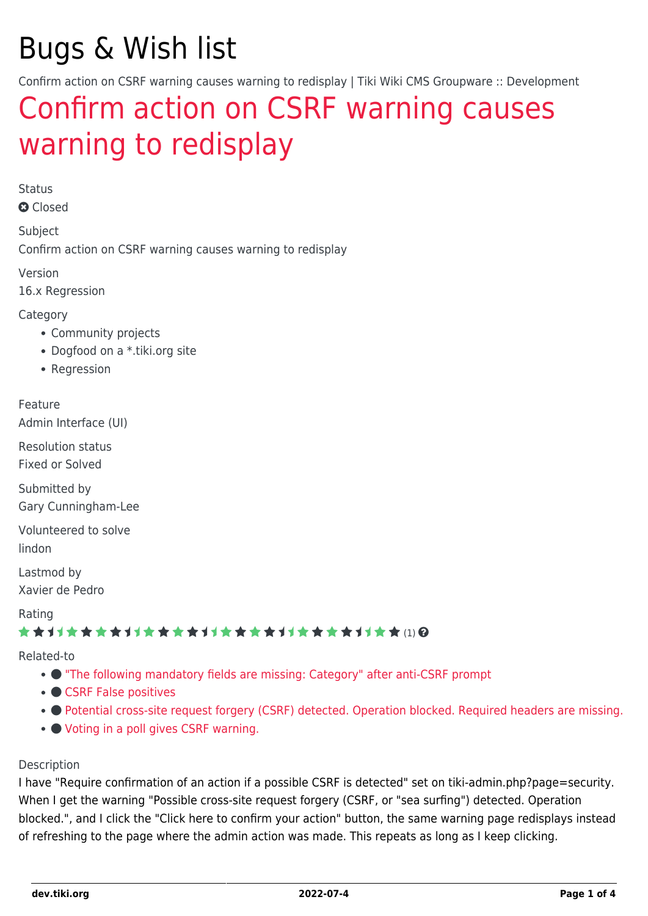# Bugs & Wish list

Confirm action on CSRF warning causes warning to redisplay | Tiki Wiki CMS Groupware :: Development

# [Confirm action on CSRF warning causes](https://dev.tiki.org/item6169-Confirm-action-on-CSRF-warning-causes-warning-to-redisplay) [warning to redisplay](https://dev.tiki.org/item6169-Confirm-action-on-CSRF-warning-causes-warning-to-redisplay)

Status

**a** Closed

Subject Confirm action on CSRF warning causes warning to redisplay

Version

16.x Regression

**Category** 

- Community projects
- Dogfood on a \*.tiki.org site
- Regression

### Feature

Admin Interface (UI)

Resolution status Fixed or Solved

Submitted by Gary Cunningham-Lee

Volunteered to solve lindon

Lastmod by Xavier de Pedro

Rating

### \*\*\*\*\*\*\*\*\*\*\*\*\*\*\*\*\*\*\*\*\*\*\*\*\*\*\*\*\*\*\*

Related-to

- ["The following mandatory fields are missing: Category" after anti-CSRF prompt](https://dev.tiki.org/item6926--The-following-mandatory-fields-are-missing-Category-after-anti-CSRF-prompt)
- [CSRF False positives](https://dev.tiki.org/item7133-CSRF-False-positives)
- $\bullet$  [Potential cross-site request forgery \(CSRF\) detected. Operation blocked. Required headers are missing.](https://dev.tiki.org/item7633-Potential-cross-site-request-forgery-CSRF-detected-Operation-blocked-Required-headers-are-missing)
- [Voting in a poll gives CSRF warning.](https://dev.tiki.org/item7350-Voting-in-a-poll-gives-CSRF-warning)

### Description

I have "Require confirmation of an action if a possible CSRF is detected" set on tiki-admin.php?page=security. When I get the warning "Possible cross-site request forgery (CSRF, or "sea surfing") detected. Operation blocked.", and I click the "Click here to confirm your action" button, the same warning page redisplays instead of refreshing to the page where the admin action was made. This repeats as long as I keep clicking.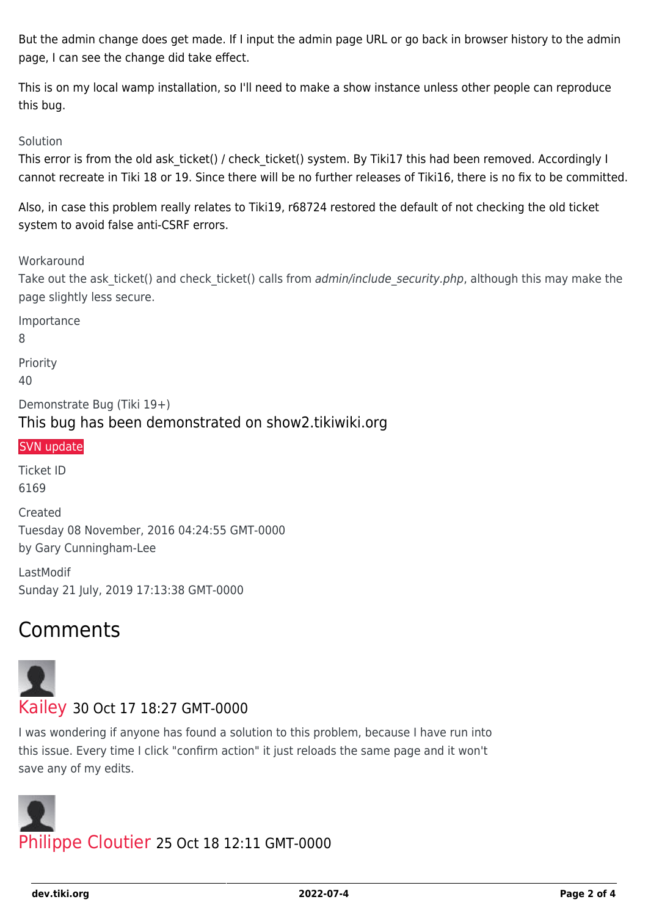But the admin change does get made. If I input the admin page URL or go back in browser history to the admin page, I can see the change did take effect.

This is on my local wamp installation, so I'll need to make a show instance unless other people can reproduce this bug.

### Solution

This error is from the old ask\_ticket() / check\_ticket() system. By Tiki17 this had been removed. Accordingly I cannot recreate in Tiki 18 or 19. Since there will be no further releases of Tiki16, there is no fix to be committed.

Also, in case this problem really relates to Tiki19, r68724 restored the default of not checking the old ticket system to avoid false anti-CSRF errors.

**Workaround** 

Take out the ask ticket() and check ticket() calls from admin/include security.php, although this may make the page slightly less secure.

Importance

8

Priority 40

Demonstrate Bug (Tiki 19+) This bug has been demonstrated on show2.tikiwiki.org

### [SVN update](#page--1-0)

Ticket ID 6169 Created Tuesday 08 November, 2016 04:24:55 GMT-0000 by Gary Cunningham-Lee

LastModif Sunday 21 July, 2019 17:13:38 GMT-0000

# Comments



I was wondering if anyone has found a solution to this problem, because I have run into this issue. Every time I click "confirm action" it just reloads the same page and it won't save any of my edits.

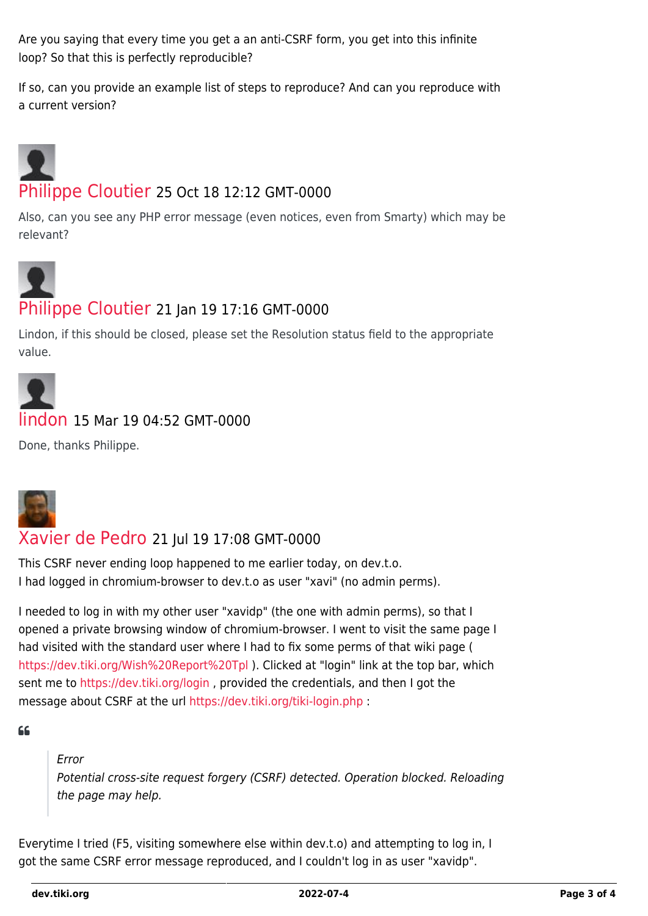Are you saying that every time you get a an anti-CSRF form, you get into this infinite loop? So that this is perfectly reproducible?

If so, can you provide an example list of steps to reproduce? And can you reproduce with a current version?

# [Philippe Cloutier](https://dev.tiki.org/user232) 25 Oct 18 12:12 GMT-0000

Also, can you see any PHP error message (even notices, even from Smarty) which may be relevant?



# [Philippe Cloutier](https://dev.tiki.org/user232) 21 Jan 19 17:16 GMT-0000

Lindon, if this should be closed, please set the Resolution status field to the appropriate value.



## [lindon](https://dev.tiki.org/user10302) 15 Mar 19 04:52 GMT-0000

Done, thanks Philippe.



## [Xavier de Pedro](https://dev.tiki.org/user9794) 21 Jul 19 17:08 GMT-0000

This CSRF never ending loop happened to me earlier today, on dev.t.o. I had logged in chromium-browser to dev.t.o as user "xavi" (no admin perms).

I needed to log in with my other user "xavidp" (the one with admin perms), so that I opened a private browsing window of chromium-browser. I went to visit the same page I had visited with the standard user where I had to fix some perms of that wiki page ( <https://dev.tiki.org/Wish%20Report%20Tpl> ). Clicked at "login" link at the top bar, which sent me to <https://dev.tiki.org/login>, provided the credentials, and then I got the message about CSRF at the url<https://dev.tiki.org/tiki-login.php>:

 $66$ 

### Error

Potential cross-site request forgery (CSRF) detected. Operation blocked. Reloading the page may help.

Everytime I tried (F5, visiting somewhere else within dev.t.o) and attempting to log in, I got the same CSRF error message reproduced, and I couldn't log in as user "xavidp".